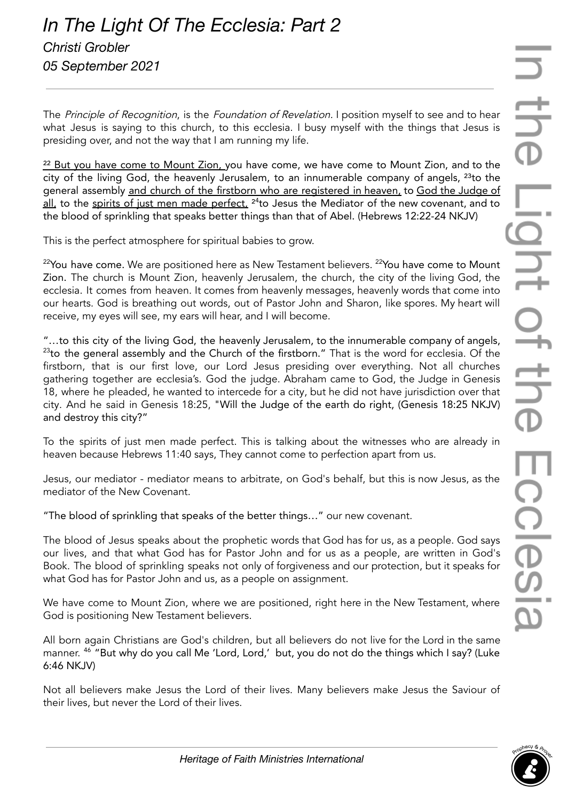The Principle of Recognition, is the Foundation of Revelation. I position myself to see and to hear what Jesus is saying to this church, to this ecclesia. I busy myself with the things that Jesus is presiding over, and not the way that I am running my life.

 $22$  But you have come to Mount Zion, you have come, we have come to Mount Zion, and to the city of the living God, the heavenly Jerusalem, to an innumerable company of angels,  $^{23}$ to the general assembly and church of the firstborn who are registered in heaven, to God the Judge of <u>all,</u> to the <u>spirits of just men made perfect,</u> <sup>24</sup>to Jesus the Mediator of the new covenant, and to the blood of sprinkling that speaks better things than that of Abel. (Hebrews 12:22-24 NKJV)

This is the perfect atmosphere for spiritual babies to grow.

 $^{22}$ You have come. We are positioned here as New Testament believers.  $^{22}$ You have come to Mount Zion. The church is Mount Zion, heavenly Jerusalem, the church, the city of the living God, the ecclesia. It comes from heaven. It comes from heavenly messages, heavenly words that come into our hearts. God is breathing out words, out of Pastor John and Sharon, like spores. My heart will receive, my eyes will see, my ears will hear, and I will become.

"…to this city of the living God, the heavenly Jerusalem, to the innumerable company of angels,  $23$ to the general assembly and the Church of the firstborn." That is the word for ecclesia. Of the firstborn, that is our first love, our Lord Jesus presiding over everything. Not all churches gathering together are ecclesia's. God the judge. Abraham came to God, the Judge in Genesis 18, where he pleaded, he wanted to intercede for a city, but he did not have jurisdiction over that city. And he said in Genesis 18:25, "Will the Judge of the earth do right, (Genesis 18:25 NKJV) and destroy this city?"

To the spirits of just men made perfect. This is talking about the witnesses who are already in heaven because Hebrews 11:40 says, They cannot come to perfection apart from us.

Jesus, our mediator - mediator means to arbitrate, on God's behalf, but this is now Jesus, as the mediator of the New Covenant.

"The blood of sprinkling that speaks of the better things…" our new covenant.

The blood of Jesus speaks about the prophetic words that God has for us, as a people. God says our lives, and that what God has for Pastor John and for us as a people, are written in God's Book. The blood of sprinkling speaks not only of forgiveness and our protection, but it speaks for what God has for Pastor John and us, as a people on assignment.

We have come to Mount Zion, where we are positioned, right here in the New Testament, where God is positioning New Testament believers.

All born again Christians are God's children, but all believers do not live for the Lord in the same manner. <sup>46</sup> "But why do you call Me 'Lord, Lord,' but, you do not do the things which I say? (Luke 6:46 NKJV)

Not all believers make Jesus the Lord of their lives. Many believers make Jesus the Saviour of their lives, but never the Lord of their lives.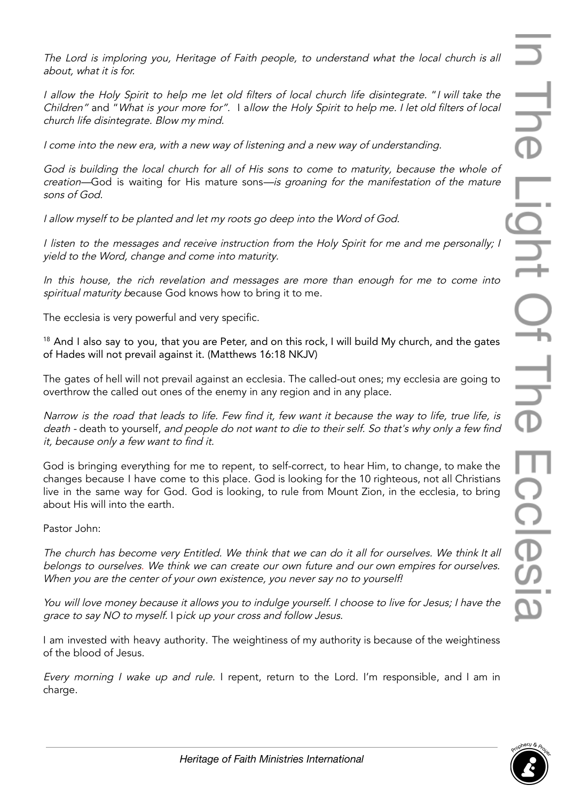The Lord is imploring you, Heritage of Faith people, to understand what the local church is all about, what it is for.

<sup>I</sup> allow the Holy Spirit to help me let old filters of local church life disintegrate. "<sup>I</sup> will take the Children" and "What is your more for". I allow the Holy Spirit to help me. <sup>I</sup> let old filters of local church life disintegrate. Blow my mind.

I come into the new era, with <sup>a</sup> new way of listening and <sup>a</sup> new way of understanding.

God is building the local church for all of His sons to come to maturity, because the whole of creation—God is waiting for His mature sons—is groaning for the manifestation of the mature sons of God.

<sup>I</sup> allow myself to be planted and let my roots go deep into the Word of God.

<sup>I</sup> listen to the messages and receive instruction from the Holy Spirit for me and me personally; <sup>I</sup> yield to the Word, change and come into maturity.

In this house, the rich revelation and messages are more than enough for me to come into spiritual maturity because God knows how to bring it to me.

The ecclesia is very powerful and very specific.

<sup>18</sup> And I also say to you, that you are Peter, and on this rock, I will build My church, and the gates of Hades will not prevail against it. (Matthews 16:18 NKJV)

The gates of hell will not prevail against an ecclesia. The called-out ones; my ecclesia are going to overthrow the called out ones of the enemy in any region and in any place.

Narrow is the road that leads to life. Few find it, few want it because the way to life, true life, is death - death to yourself, and people do not want to die to their self. So that's why only <sup>a</sup> few find it, because only <sup>a</sup> few want to find it.

God is bringing everything for me to repent, to self-correct, to hear Him, to change, to make the changes because I have come to this place. God is looking for the 10 righteous, not all Christians live in the same way for God. God is looking, to rule from Mount Zion, in the ecclesia, to bring about His will into the earth.

Pastor John:

The church has become very Entitled. We think that we can do it all for ourselves. We think It all belongs to ourselves. We think we can create our own future and our own empires for ourselves. When you are the center of your own existence, you never say no to yourself!

You will love money because it allows you to indulge yourself. I choose to live for Jesus; I have the grace to say NO to myself. I pick up your cross and follow Jesus.

I am invested with heavy authority. The weightiness of my authority is because of the weightiness of the blood of Jesus.

Every morning <sup>I</sup> wake up and rule. I repent, return to the Lord. I'm responsible, and I am in charge.

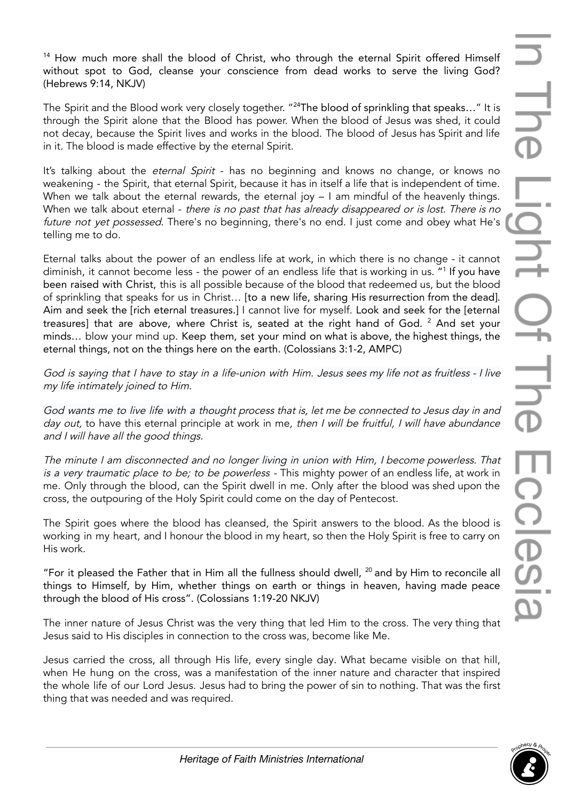<sup>14</sup> How much more shall the blood of Christ, who through the eternal Spirit offered Himself without spot to God, cleanse your conscience from dead works to serve the living God? (Hebrews 9:14, NKJV)

The Spirit and the Blood work very closely together. " <sup>24</sup>The blood of sprinkling that speaks…" It is through the Spirit alone that the Blood has power. When the blood of Jesus was shed, it could not decay, because the Spirit lives and works in the blood. The blood of Jesus has Spirit and life in it. The blood is made effective by the eternal Spirit.

It's talking about the *eternal Spirit* - has no beginning and knows no change, or knows no weakening - the Spirit, that eternal Spirit, because it has in itself a life that is independent of time. When we talk about the eternal rewards, the eternal joy – I am mindful of the heavenly things. When we talk about eternal - there is no past that has already disappeared or is lost. There is no future not yet possessed. There's no beginning, there's no end. I just come and obey what He's telling me to do.

Eternal talks about the power of an endless life at work, in which there is no change - it cannot diminish, it cannot become less - the power of an endless life that is working in us. " 1 If you have been raised with Christ, this is all possible because of the blood that redeemed us, but the blood of sprinkling that speaks for us in Christ… [to a new life, sharing His resurrection from the dead]. Aim and seek the [rich eternal treasures.] I cannot live for myself. Look and seek for the [eternal treasures] that are above, where Christ is, seated at the right hand of God. <sup>2</sup> And set your minds… blow your mind up. Keep them, set your mind on what is above, the highest things, the eternal things, not on the things here on the earth. (Colossians 3:1-2, AMPC)

God is saying that I have to stay in <sup>a</sup> life-union with Him. Jesus sees my life not as fruitless - I live my life intimately joined to Him.

God wants me to live life with <sup>a</sup> thought process that is, let me be connected to Jesus day in and day out, to have this eternal principle at work in me, then I will be fruitful, I will have abundance and I will have all the good things.

The minute <sup>I</sup> am disconnected and no longer living in union with Him, <sup>I</sup> become powerless. That is a very traumatic place to be; to be powerless - This mighty power of an endless life, at work in me. Only through the blood, can the Spirit dwell in me. Only after the blood was shed upon the cross, the outpouring of the Holy Spirit could come on the day of Pentecost.

The Spirit goes where the blood has cleansed, the Spirit answers to the blood. As the blood is working in my heart, and I honour the blood in my heart, so then the Holy Spirit is free to carry on His work.

"For it pleased the Father that in Him all the fullness should dwell,  $^{20}$  and by Him to reconcile all things to Himself, by Him, whether things on earth or things in heaven, having made peace through the blood of His cross". (Colossians 1:19-20 NKJV)

The inner nature of Jesus Christ was the very thing that led Him to the cross. The very thing that Jesus said to His disciples in connection to the cross was, become like Me.

Jesus carried the cross, all through His life, every single day. What became visible on that hill, when He hung on the cross, was a manifestation of the inner nature and character that inspired the whole life of our Lord Jesus. Jesus had to bring the power of sin to nothing. That was the first thing that was needed and was required.